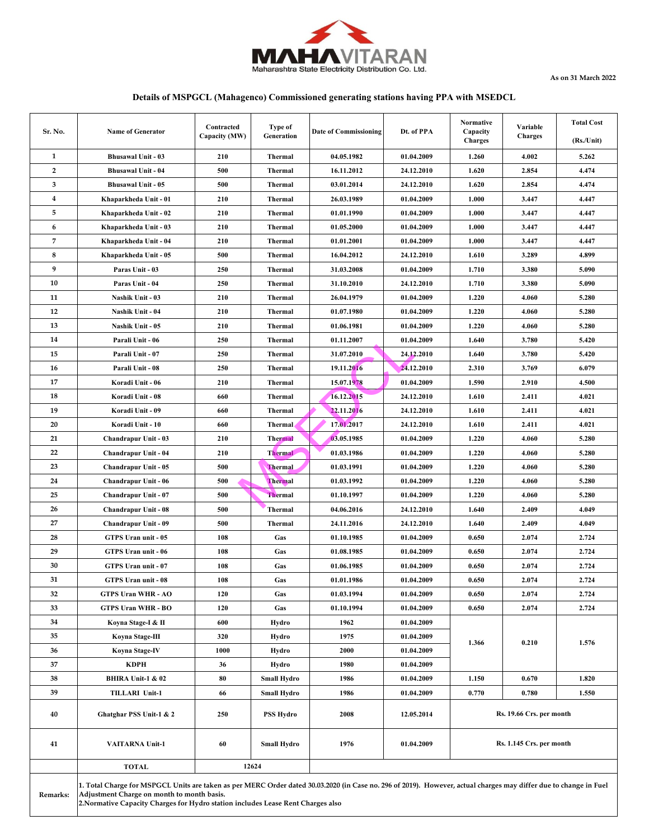

**As on 31 March 2022**

### **Details of MSPGCL (Mahagenco) Commissioned generating stations having PPA with MSEDCL**

| Sr. No.  | <b>Name of Generator</b>                                                                                                                                                                                                                                                                            | Contracted<br>Capacity (MW) | Type of<br>Generation | Date of Commissioning | Dt. of PPA | Normative<br>Capacity<br><b>Charges</b> | Variable<br><b>Charges</b> | <b>Total Cost</b><br>$(Rs/U$ nit) |  |
|----------|-----------------------------------------------------------------------------------------------------------------------------------------------------------------------------------------------------------------------------------------------------------------------------------------------------|-----------------------------|-----------------------|-----------------------|------------|-----------------------------------------|----------------------------|-----------------------------------|--|
| 1        | <b>Bhusawal Unit - 03</b>                                                                                                                                                                                                                                                                           | 210                         | Thermal               | 04.05.1982            | 01.04.2009 | 1.260                                   | 4.002                      | 5.262                             |  |
| 2        | <b>Bhusawal Unit - 04</b>                                                                                                                                                                                                                                                                           | 500                         | <b>Thermal</b>        | 16.11.2012            | 24.12.2010 | 1.620                                   | 2.854                      | 4.474                             |  |
| 3        | <b>Bhusawal Unit - 05</b>                                                                                                                                                                                                                                                                           | 500                         | Thermal               | 03.01.2014            | 24.12.2010 | 1.620                                   | 2.854                      | 4.474                             |  |
| 4        | Khaparkheda Unit - 01                                                                                                                                                                                                                                                                               | 210                         | Thermal               | 26.03.1989            | 01.04.2009 | 1.000                                   | 3.447                      | 4.447                             |  |
| 5        | Khaparkheda Unit - 02                                                                                                                                                                                                                                                                               | 210                         | Thermal               | 01.01.1990            | 01.04.2009 | 1.000                                   | 3.447                      | 4.447                             |  |
| 6        | Khaparkheda Unit - 03                                                                                                                                                                                                                                                                               | 210                         | Thermal               | 01.05.2000            | 01.04.2009 | 1.000                                   | 3.447                      | 4.447                             |  |
| 7        | Khaparkheda Unit - 04                                                                                                                                                                                                                                                                               | 210                         | Thermal               | 01.01.2001            | 01.04.2009 | 1.000                                   | 3.447                      | 4.447                             |  |
| 8        | Khaparkheda Unit - 05                                                                                                                                                                                                                                                                               | 500                         | Thermal               | 16.04.2012            | 24.12.2010 | 1.610                                   | 3.289                      | 4.899                             |  |
| 9        | Paras Unit - 03                                                                                                                                                                                                                                                                                     | 250                         | Thermal               | 31.03.2008            | 01.04.2009 | 1.710                                   | 3.380                      | 5.090                             |  |
| 10       | Paras Unit - 04                                                                                                                                                                                                                                                                                     | 250                         | Thermal               | 31.10.2010            | 24.12.2010 | 1.710                                   | 3.380                      | 5.090                             |  |
| 11       | Nashik Unit - 03                                                                                                                                                                                                                                                                                    | 210                         | Thermal               | 26.04.1979            | 01.04.2009 | 1.220                                   | 4.060                      | 5.280                             |  |
| 12       | Nashik Unit - 04                                                                                                                                                                                                                                                                                    | 210                         | Thermal               | 01.07.1980            | 01.04.2009 | 1.220                                   | 4.060                      | 5.280                             |  |
| 13       | Nashik Unit - 05                                                                                                                                                                                                                                                                                    | 210                         | Thermal               | 01.06.1981            | 01.04.2009 | 1.220                                   | 4.060                      | 5.280                             |  |
| 14       | Parali Unit - 06                                                                                                                                                                                                                                                                                    | 250                         | Thermal               | 01.11.2007            | 01.04.2009 | 1.640                                   | 3.780                      | 5.420                             |  |
| 15       | Parali Unit - 07                                                                                                                                                                                                                                                                                    | 250                         | Thermal               | 31.07.2010            | 24.12.2010 | 1.640                                   | 3.780                      | 5.420                             |  |
| 16       | Parali Unit - 08                                                                                                                                                                                                                                                                                    | 250                         | Thermal               | 19.11.2016            | 24.12.2010 | 2.310                                   | 3.769                      | 6.079                             |  |
| 17       | Koradi Unit - 06                                                                                                                                                                                                                                                                                    | 210                         | Thermal               | 15.07.1978            | 01.04.2009 | 1.590                                   | 2.910                      | 4.500                             |  |
| 18       | Koradi Unit - 08                                                                                                                                                                                                                                                                                    | 660                         | Thermal               | 16.12.2015            | 24.12.2010 | 1.610                                   | 2.411                      | 4.021                             |  |
| 19       | Koradi Unit - 09                                                                                                                                                                                                                                                                                    | 660                         | <b>Thermal</b>        | 22.11.2016            | 24.12.2010 | 1.610                                   | 2.411                      | 4.021                             |  |
| 20       | Koradi Unit - 10                                                                                                                                                                                                                                                                                    | 660                         | Thermal               | 17.01.2017            | 24.12.2010 | 1.610                                   | 2.411                      | 4.021                             |  |
| 21       | Chandrapur Unit - 03                                                                                                                                                                                                                                                                                | 210                         | <b>Thermal</b>        | 03.05.1985            | 01.04.2009 | 1.220                                   | 4.060                      | 5.280                             |  |
| 22       | Chandrapur Unit - 04                                                                                                                                                                                                                                                                                | 210                         | <b>Thermal</b>        | 01.03.1986            | 01.04.2009 | 1.220                                   | 4.060                      | 5.280                             |  |
| 23       | Chandrapur Unit - 05                                                                                                                                                                                                                                                                                | 500                         | <b>Thermal</b>        | 01.03.1991            | 01.04.2009 | 1.220                                   | 4.060                      | 5.280                             |  |
| 24       | Chandrapur Unit - 06                                                                                                                                                                                                                                                                                | 500                         | <b>Thermal</b>        | 01.03.1992            | 01.04.2009 | 1.220                                   | 4.060                      | 5.280                             |  |
| 25       | Chandrapur Unit - 07                                                                                                                                                                                                                                                                                | 500                         | <b>Thermal</b>        | 01.10.1997            | 01.04.2009 | 1.220                                   | 4.060                      | 5.280                             |  |
| 26       | Chandrapur Unit - 08                                                                                                                                                                                                                                                                                | 500                         | Thermal               | 04.06.2016            | 24.12.2010 | 1.640                                   | 2.409                      | 4.049                             |  |
| 27       | Chandrapur Unit - 09                                                                                                                                                                                                                                                                                | 500                         | Thermal               | 24.11.2016            | 24.12.2010 | 1.640                                   | 2.409                      | 4.049                             |  |
| 28       | GTPS Uran unit - 05                                                                                                                                                                                                                                                                                 | 108                         | Gas                   | 01.10.1985            | 01.04.2009 | 0.650                                   | 2.074                      | 2.724                             |  |
| 29       | GTPS Uran unit - 06                                                                                                                                                                                                                                                                                 | 108                         | Gas                   | 01.08.1985            | 01.04.2009 | 0.650                                   | 2.074                      | 2.724                             |  |
| 30       | GTPS Uran unit - 07                                                                                                                                                                                                                                                                                 | 108                         | Gas                   | 01.06.1985            | 01.04.2009 | 0.650                                   | 2.074                      | 2.724                             |  |
| 31       | GTPS Uran unit - 08                                                                                                                                                                                                                                                                                 | 108                         | Gas                   | 01.01.1986            | 01.04.2009 | 0.650                                   | 2.074                      | 2.724                             |  |
| 32       | <b>GTPS Uran WHR - AO</b>                                                                                                                                                                                                                                                                           | 120                         | Gas                   | 01.03.1994            | 01.04.2009 | 0.650                                   | 2.074                      | 2.724                             |  |
| 33       | <b>GTPS Uran WHR - BO</b>                                                                                                                                                                                                                                                                           | 120                         | Gas                   | 01.10.1994            | 01.04.2009 | 0.650                                   | 2.074                      | 2.724                             |  |
| 34       | Koyna Stage-I & II                                                                                                                                                                                                                                                                                  | 600                         | Hydro                 | 1962                  | 01.04.2009 |                                         |                            |                                   |  |
| 35       | Koyna Stage-III                                                                                                                                                                                                                                                                                     | 320                         | Hydro                 | 1975                  | 01.04.2009 |                                         |                            | 1.576                             |  |
| 36       | Koyna Stage-IV                                                                                                                                                                                                                                                                                      | 1000                        | Hydro                 | 2000                  | 01.04.2009 | 1.366                                   | 0.210                      |                                   |  |
| 37       | KDPH                                                                                                                                                                                                                                                                                                | 36                          | Hydro                 | 1980                  | 01.04.2009 |                                         |                            |                                   |  |
| 38       | BHIRA Unit-1 & 02                                                                                                                                                                                                                                                                                   | 80                          | <b>Small Hydro</b>    | 1986                  | 01.04.2009 | 1.150                                   | 0.670                      | 1.820                             |  |
| 39       | <b>TILLARI Unit-1</b>                                                                                                                                                                                                                                                                               | 66                          | <b>Small Hydro</b>    | 1986                  | 01.04.2009 | 0.770                                   | 0.780                      | 1.550                             |  |
| 40       | Ghatghar PSS Unit-1 & 2                                                                                                                                                                                                                                                                             | 250                         | <b>PSS Hydro</b>      | 2008                  | 12.05.2014 | Rs. 19.66 Crs. per month                |                            |                                   |  |
| 41       | <b>VAITARNA Unit-1</b>                                                                                                                                                                                                                                                                              | 60                          | <b>Small Hydro</b>    | 1976                  | 01.04.2009 | Rs. 1.145 Crs. per month                |                            |                                   |  |
|          | 12624<br><b>TOTAL</b>                                                                                                                                                                                                                                                                               |                             |                       |                       |            |                                         |                            |                                   |  |
| Remarks: | 1. Total Charge for MSPGCL Units are taken as per MERC Order dated 30.03.2020 (in Case no. 296 of 2019). However, actual charges may differ due to change in Fuel<br>Adjustment Charge on month to month basis.<br>2. Normative Capacity Charges for Hydro station includes Lease Rent Charges also |                             |                       |                       |            |                                         |                            |                                   |  |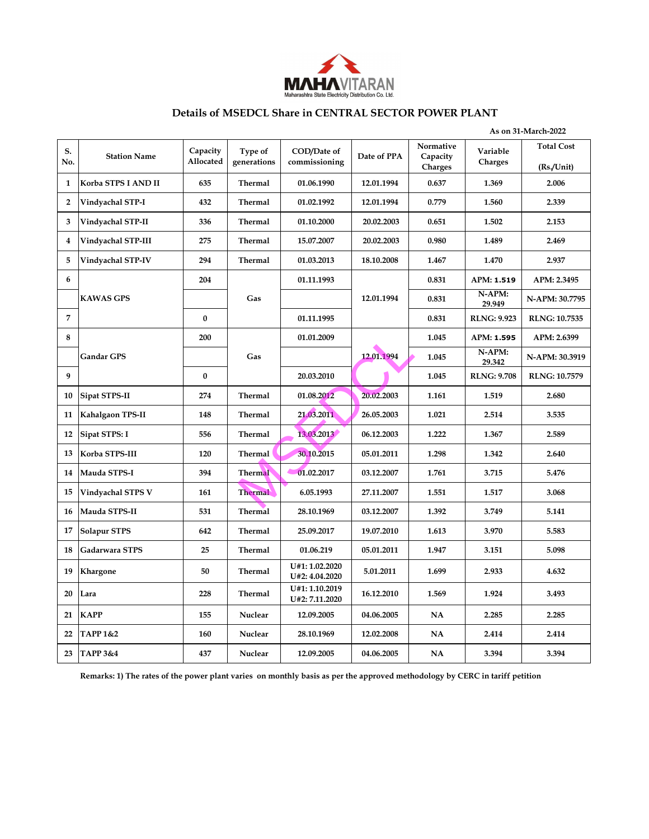

### **Details of MSEDCL Share in CENTRAL SECTOR POWER PLANT**

|                | As on 31-March-2022 |                       |                        |                                  |             |                                         |                     |                                |
|----------------|---------------------|-----------------------|------------------------|----------------------------------|-------------|-----------------------------------------|---------------------|--------------------------------|
| S.<br>No.      | <b>Station Name</b> | Capacity<br>Allocated | Type of<br>generations | COD/Date of<br>commissioning     | Date of PPA | Normative<br>Capacity<br><b>Charges</b> | Variable<br>Charges | <b>Total Cost</b><br>(Rs/Unit) |
| $\mathbf{1}$   | Korba STPS I AND II | 635                   | <b>Thermal</b>         | 01.06.1990                       | 12.01.1994  | 0.637                                   | 1.369               | 2.006                          |
| $\overline{2}$ | Vindyachal STP-I    | 432                   | <b>Thermal</b>         | 01.02.1992                       | 12.01.1994  | 0.779                                   | 1.560               | 2.339                          |
| 3              | Vindyachal STP-II   | 336                   | Thermal                | 01.10.2000                       | 20.02.2003  | 0.651                                   | 1.502               | 2.153                          |
| 4              | Vindyachal STP-III  | 275                   | <b>Thermal</b>         | 15.07.2007                       | 20.02.2003  | 0.980                                   | 1.489               | 2.469                          |
| 5              | Vindyachal STP-IV   | 294                   | <b>Thermal</b>         | 01.03.2013                       | 18.10.2008  | 1.467                                   | 1.470               | 2.937                          |
| 6              |                     | 204                   |                        | 01.11.1993                       |             | 0.831                                   | APM: 1.519          | APM: 2.3495                    |
|                | <b>KAWAS GPS</b>    |                       | Gas                    |                                  | 12.01.1994  | 0.831                                   | N-APM:<br>29.949    | N-APM: 30.7795                 |
| $\overline{7}$ |                     | $\bf{0}$              |                        | 01.11.1995                       |             | 0.831                                   | <b>RLNG: 9.923</b>  | <b>RLNG: 10.7535</b>           |
| 8              |                     | 200                   |                        | 01.01.2009                       |             | 1.045                                   | APM: 1.595          | APM: 2.6399                    |
|                | <b>Gandar GPS</b>   |                       | Gas                    |                                  | 12.01.1994  | 1.045                                   | N-APM:<br>29.342    | N-APM: 30.3919                 |
| 9              |                     | $\mathbf{0}$          |                        | 20.03.2010                       |             | 1.045                                   | <b>RLNG: 9.708</b>  | <b>RLNG: 10.7579</b>           |
| 10             | Sipat STPS-II       | 274                   | Thermal                | 01.08.2012                       | 20.02.2003  | 1.161                                   | 1.519               | 2.680                          |
| 11             | Kahalgaon TPS-II    | 148                   | <b>Thermal</b>         | 21.03.2011                       | 26.05.2003  | 1.021                                   | 2.514               | 3.535                          |
| 12             | Sipat STPS: I       | 556                   | <b>Thermal</b>         | 13.03.2013                       | 06.12.2003  | 1.222                                   | 1.367               | 2.589                          |
| 13             | Korba STPS-III      | 120                   | Thermal                | 30.10.2015                       | 05.01.2011  | 1.298                                   | 1.342               | 2.640                          |
| 14             | Mauda STPS-I        | 394                   | <b>Thermal</b>         | 01.02.2017                       | 03.12.2007  | 1.761                                   | 3.715               | 5.476                          |
| 15             | Vindyachal STPS V   | 161                   | <b>Thermal</b>         | 6.05.1993                        | 27,11,2007  | 1.551                                   | 1.517               | 3.068                          |
| 16             | Mauda STPS-II       | 531                   | <b>Thermal</b>         | 28.10.1969                       | 03.12.2007  | 1.392                                   | 3.749               | 5.141                          |
| 17             | <b>Solapur STPS</b> | 642                   | <b>Thermal</b>         | 25.09.2017                       | 19.07.2010  | 1.613                                   | 3.970               | 5.583                          |
| 18             | Gadarwara STPS      | 25                    | <b>Thermal</b>         | 01.06.219                        | 05.01.2011  | 1.947                                   | 3.151               | 5.098                          |
| 19             | Khargone            | 50                    | <b>Thermal</b>         | U#1: 1.02.2020<br>U#2: 4.04.2020 | 5.01.2011   | 1.699                                   | 2.933               | 4.632                          |
| 20             | Lara                | 228                   | Thermal                | U#1: 1.10.2019<br>U#2: 7.11.2020 | 16.12.2010  | 1.569                                   | 1.924               | 3.493                          |
| 21             | <b>KAPP</b>         | 155                   | <b>Nuclear</b>         | 12.09.2005                       | 04.06.2005  | NA                                      | 2.285               | 2.285                          |
| 22             | <b>TAPP 1&amp;2</b> | 160                   | Nuclear                | 28.10.1969                       | 12.02.2008  | NA                                      | 2.414               | 2.414                          |
| 23             | <b>TAPP 3&amp;4</b> | 437                   | Nuclear                | 12.09.2005                       | 04.06.2005  | NA                                      | 3.394               | 3.394                          |

**Remarks: 1) The rates of the power plant varies on monthly basis as per the approved methodology by CERC in tariff petition**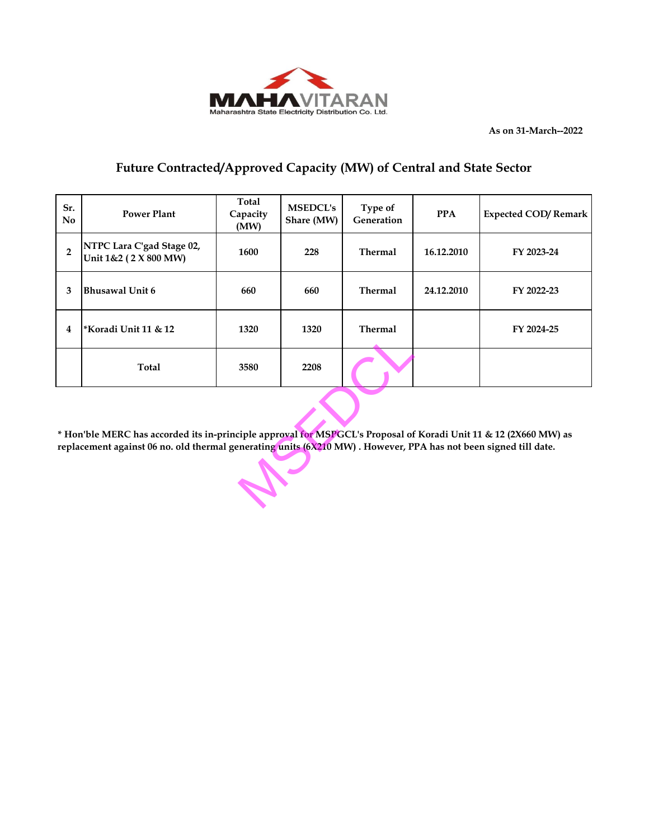

**As on 31-March--2022**

# **Future Contracted/Approved Capacity (MW) of Central and State Sector**

| Sr.<br>N <sub>0</sub>                                                                                                                                                                                                               | <b>Power Plant</b>                                 | Total<br>Capacity<br>(MW) | <b>MSEDCL's</b><br>Share (MW) | Type of<br>Generation | <b>PPA</b> | <b>Expected COD/Remark</b> |  |  |
|-------------------------------------------------------------------------------------------------------------------------------------------------------------------------------------------------------------------------------------|----------------------------------------------------|---------------------------|-------------------------------|-----------------------|------------|----------------------------|--|--|
| $\overline{2}$                                                                                                                                                                                                                      | NTPC Lara C'gad Stage 02,<br>Unit 1&2 (2 X 800 MW) | 1600                      | 228                           | <b>Thermal</b>        | 16.12.2010 | FY 2023-24                 |  |  |
| 3                                                                                                                                                                                                                                   | <b>Bhusawal Unit 6</b>                             | 660                       | 660                           | <b>Thermal</b>        | 24.12.2010 | FY 2022-23                 |  |  |
| 4                                                                                                                                                                                                                                   | *Koradi Unit 11 & 12                               | 1320                      | 1320                          | <b>Thermal</b>        |            | FY 2024-25                 |  |  |
|                                                                                                                                                                                                                                     | Total                                              | 3580                      | 2208                          |                       |            |                            |  |  |
| * Hon'ble MERC has accorded its in-principle approval for MSPGCL's Proposal of Koradi Unit 11 & 12 (2X660 MW) as<br>replacement against 06 no. old thermal generating units (6X210 MW). However, PPA has not been signed till date. |                                                    |                           |                               |                       |            |                            |  |  |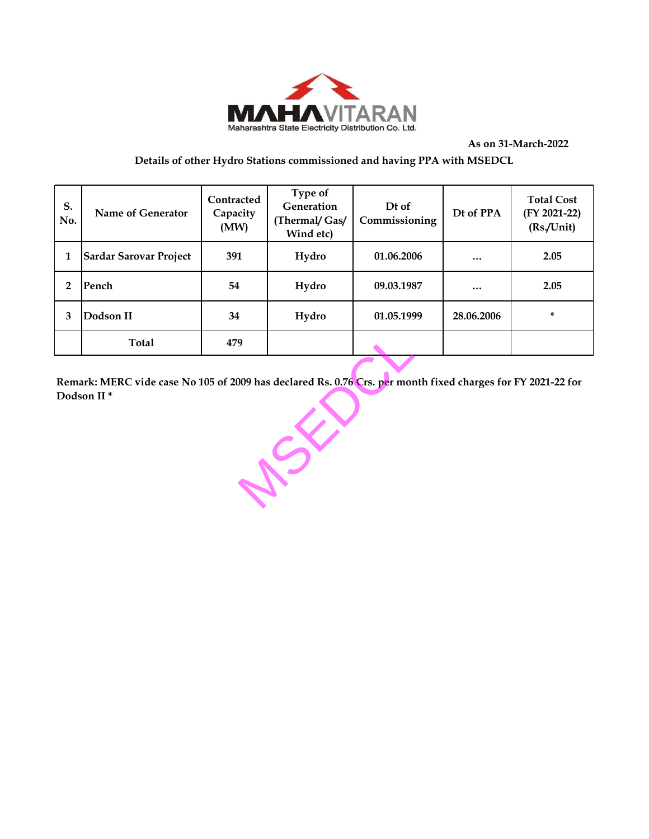

**As on 31-March-2022**

## **Details of other Hydro Stations commissioned and having PPA with MSEDCL**

| S.<br>No. | Name of Generator             | Contracted<br>Capacity<br>(MW) | Type of<br>Generation<br>(Thermal/ Gas/<br>Wind etc) | Dt of<br>Commissioning | Dt of PPA  | <b>Total Cost</b><br>(FY 2021-22)<br>(Rs/Unit) |
|-----------|-------------------------------|--------------------------------|------------------------------------------------------|------------------------|------------|------------------------------------------------|
|           | <b>Sardar Sarovar Project</b> | 391                            | Hydro                                                | 01.06.2006             | $\cdots$   | 2.05                                           |
| 2         | Pench                         | 54                             | Hydro                                                | 09.03.1987             | $\cdots$   | 2.05                                           |
| 3         | Dodson II                     | 34                             | Hydro                                                | 01.05.1999             | 28.06.2006 | ×.                                             |
|           | Total                         | 479                            |                                                      |                        |            |                                                |

**Remark: MERC vide case No 105 of 2009 has declared Rs. 0.76 Crs. per month fixed charges for FY 2021-22 for Dodson II \***

WSEP 2